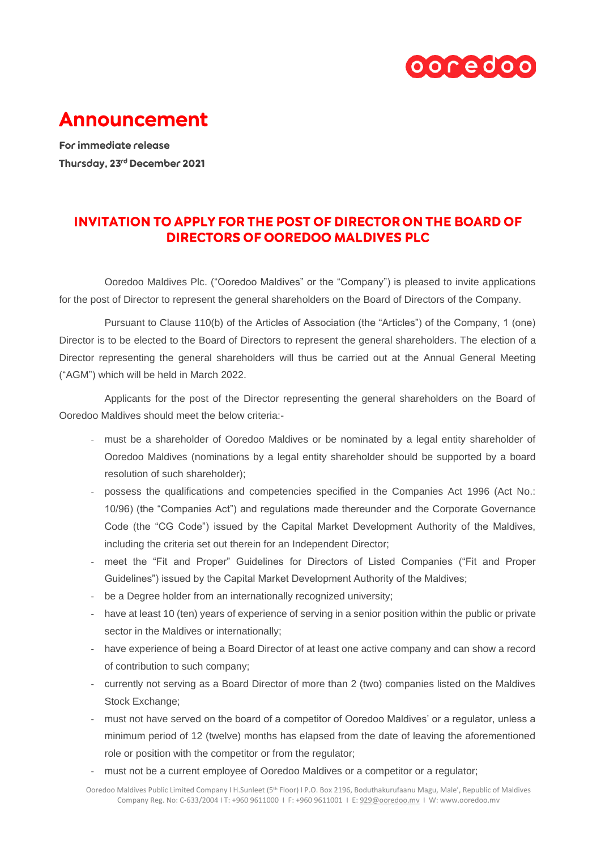

## **Announcement**

For immediate release Thursday, 23rd December 2021

## **INVITATION TO APPLY FOR THE POST OF DIRECTOR ON THE BOARD OF DIRECTORS OF OOREDOO MALDIVES PLC**

Ooredoo Maldives Plc. ("Ooredoo Maldives" or the "Company") is pleased to invite applications for the post of Director to represent the general shareholders on the Board of Directors of the Company.

Pursuant to Clause 110(b) of the Articles of Association (the "Articles") of the Company, 1 (one) Director is to be elected to the Board of Directors to represent the general shareholders. The election of a Director representing the general shareholders will thus be carried out at the Annual General Meeting ("AGM") which will be held in March 2022.

Applicants for the post of the Director representing the general shareholders on the Board of Ooredoo Maldives should meet the below criteria:-

- must be a shareholder of Ooredoo Maldives or be nominated by a legal entity shareholder of Ooredoo Maldives (nominations by a legal entity shareholder should be supported by a board resolution of such shareholder);
- possess the qualifications and competencies specified in the Companies Act 1996 (Act No.: 10/96) (the "Companies Act") and regulations made thereunder and the Corporate Governance Code (the "CG Code") issued by the Capital Market Development Authority of the Maldives, including the criteria set out therein for an Independent Director;
- meet the "Fit and Proper" Guidelines for Directors of Listed Companies ("Fit and Proper Guidelines") issued by the Capital Market Development Authority of the Maldives;
- be a Degree holder from an internationally recognized university;
- have at least 10 (ten) years of experience of serving in a senior position within the public or private sector in the Maldives or internationally;
- have experience of being a Board Director of at least one active company and can show a record of contribution to such company;
- currently not serving as a Board Director of more than 2 (two) companies listed on the Maldives Stock Exchange;
- must not have served on the board of a competitor of Ooredoo Maldives' or a regulator, unless a minimum period of 12 (twelve) months has elapsed from the date of leaving the aforementioned role or position with the competitor or from the regulator;
- must not be a current employee of Ooredoo Maldives or a competitor or a regulator;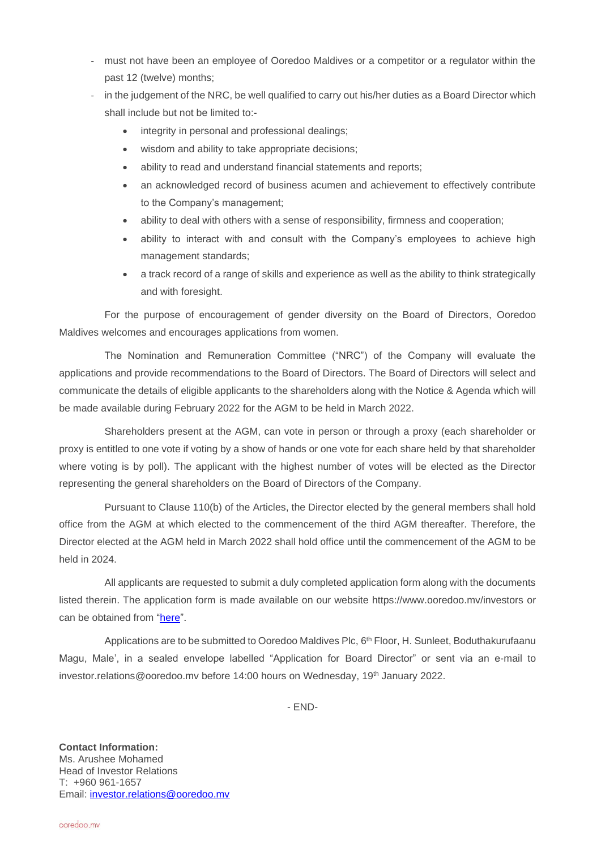- must not have been an employee of Ooredoo Maldives or a competitor or a regulator within the past 12 (twelve) months;
- in the judgement of the NRC, be well qualified to carry out his/her duties as a Board Director which shall include but not be limited to:
	- integrity in personal and professional dealings;
	- wisdom and ability to take appropriate decisions;
	- ability to read and understand financial statements and reports;
	- an acknowledged record of business acumen and achievement to effectively contribute to the Company's management;
	- ability to deal with others with a sense of responsibility, firmness and cooperation;
	- ability to interact with and consult with the Company's employees to achieve high management standards;
	- a track record of a range of skills and experience as well as the ability to think strategically and with foresight.

For the purpose of encouragement of gender diversity on the Board of Directors, Ooredoo Maldives welcomes and encourages applications from women.

The Nomination and Remuneration Committee ("NRC") of the Company will evaluate the applications and provide recommendations to the Board of Directors. The Board of Directors will select and communicate the details of eligible applicants to the shareholders along with the Notice & Agenda which will be made available during February 2022 for the AGM to be held in March 2022.

Shareholders present at the AGM, can vote in person or through a proxy (each shareholder or proxy is entitled to one vote if voting by a show of hands or one vote for each share held by that shareholder where voting is by poll). The applicant with the highest number of votes will be elected as the Director representing the general shareholders on the Board of Directors of the Company.

Pursuant to Clause 110(b) of the Articles, the Director elected by the general members shall hold office from the AGM at which elected to the commencement of the third AGM thereafter. Therefore, the Director elected at the AGM held in March 2022 shall hold office until the commencement of the AGM to be held in 2024.

All applicants are requested to submit a duly completed application form along with the documents listed therein. The application form is made available on our website https://www.ooredoo.mv/investors or can be obtained from ["here"](https://cdn.ooredoo.mv/files/investors/2022-public-director-application-form.pdf).

Applications are to be submitted to Ooredoo Maldives Plc, 6<sup>th</sup> Floor, H. Sunleet, Boduthakurufaanu Magu, Male', in a sealed envelope labelled "Application for Board Director" or sent via an e-mail to [investor.relations@ooredoo.mv](mailto:investor.relations@ooredoo.mv) before 14:00 hours on Wednesday, 19<sup>th</sup> January 2022.

- END-

**Contact Information:** Ms. Arushee Mohamed Head of Investor Relations T: +960 961-1657 Email: [investor.relations@ooredoo.mv](mailto:investor.relations@ooredoo.mv)